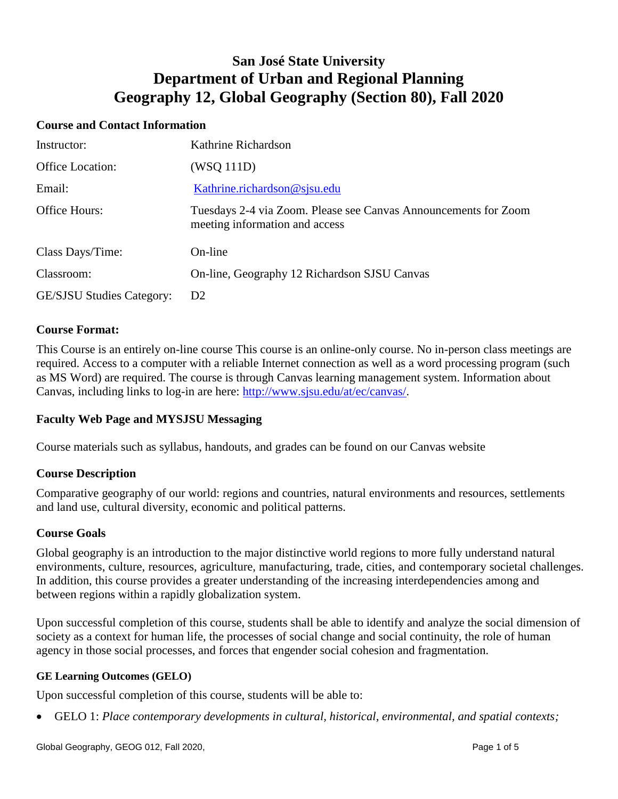# **San José State University Department of Urban and Regional Planning Geography 12, Global Geography (Section 80), Fall 2020**

## **Course and Contact Information**

| Instructor:                      | Kathrine Richardson                                                                               |
|----------------------------------|---------------------------------------------------------------------------------------------------|
| <b>Office Location:</b>          | (WSQ 111D)                                                                                        |
| Email:                           | Kathrine.richardson@sjsu.edu                                                                      |
| Office Hours:                    | Tuesdays 2-4 via Zoom. Please see Canvas Announcements for Zoom<br>meeting information and access |
| Class Days/Time:                 | On-line                                                                                           |
| Classroom:                       | On-line, Geography 12 Richardson SJSU Canvas                                                      |
| <b>GE/SJSU Studies Category:</b> | D2                                                                                                |

## **Course Format:**

This Course is an entirely on-line course This course is an online-only course. No in-person class meetings are required. Access to a computer with a reliable Internet connection as well as a word processing program (such as MS Word) are required. The course is through Canvas learning management system. Information about Canvas, including links to log-in are here: [http://www.sjsu.edu/at/ec/canvas/.](http://www.sjsu.edu/at/ec/canvas/)

## **Faculty Web Page and MYSJSU Messaging**

Course materials such as syllabus, handouts, and grades can be found on our Canvas website

## **Course Description**

Comparative geography of our world: regions and countries, natural environments and resources, settlements and land use, cultural diversity, economic and political patterns.

#### **Course Goals**

Global geography is an introduction to the major distinctive world regions to more fully understand natural environments, culture, resources, agriculture, manufacturing, trade, cities, and contemporary societal challenges. In addition, this course provides a greater understanding of the increasing interdependencies among and between regions within a rapidly globalization system.

Upon successful completion of this course, students shall be able to identify and analyze the social dimension of society as a context for human life, the processes of social change and social continuity, the role of human agency in those social processes, and forces that engender social cohesion and fragmentation.

#### **GE Learning Outcomes (GELO)**

Upon successful completion of this course, students will be able to:

GELO 1: *Place contemporary developments in cultural, historical, environmental, and spatial contexts;*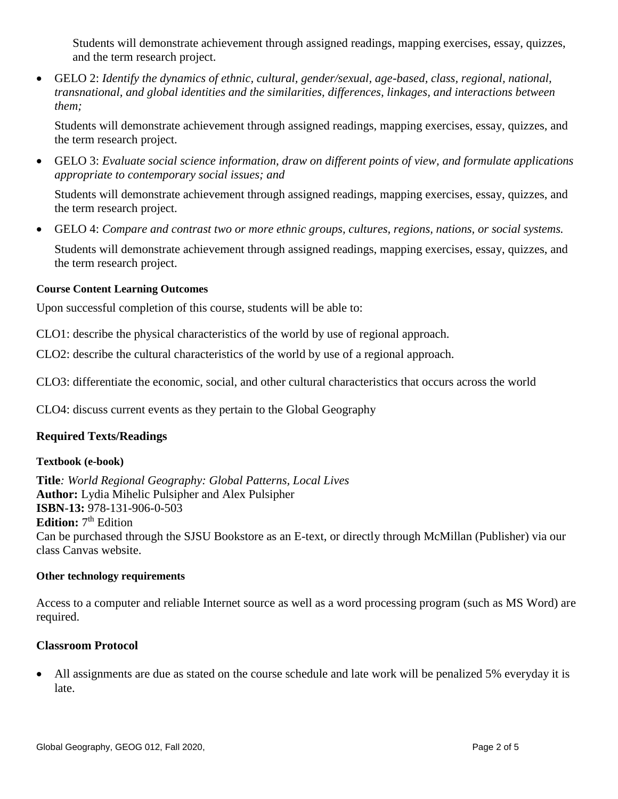Students will demonstrate achievement through assigned readings, mapping exercises, essay, quizzes, and the term research project.

 GELO 2: *Identify the dynamics of ethnic, cultural, gender/sexual, age-based, class, regional, national, transnational, and global identities and the similarities, differences, linkages, and interactions between them;*

Students will demonstrate achievement through assigned readings, mapping exercises, essay, quizzes, and the term research project.

 GELO 3: *Evaluate social science information, draw on different points of view, and formulate applications appropriate to contemporary social issues; and*

Students will demonstrate achievement through assigned readings, mapping exercises, essay, quizzes, and the term research project.

GELO 4: *Compare and contrast two or more ethnic groups, cultures, regions, nations, or social systems.*

Students will demonstrate achievement through assigned readings, mapping exercises, essay, quizzes, and the term research project.

## **Course Content Learning Outcomes**

Upon successful completion of this course, students will be able to:

CLO1: describe the physical characteristics of the world by use of regional approach.

CLO2: describe the cultural characteristics of the world by use of a regional approach.

CLO3: differentiate the economic, social, and other cultural characteristics that occurs across the world

CLO4: discuss current events as they pertain to the Global Geography

# **Required Texts/Readings**

## **Textbook (e-book)**

**Title***: World Regional Geography: Global Patterns, Local Lives* **Author:** Lydia Mihelic Pulsipher and Alex Pulsipher **ISBN**-**13:** 978-131-906-0-503 Edition: 7<sup>th</sup> Edition Can be purchased through the SJSU Bookstore as an E-text, or directly through McMillan (Publisher) via our class Canvas website.

## **Other technology requirements**

Access to a computer and reliable Internet source as well as a word processing program (such as MS Word) are required.

## **Classroom Protocol**

 All assignments are due as stated on the course schedule and late work will be penalized 5% everyday it is late.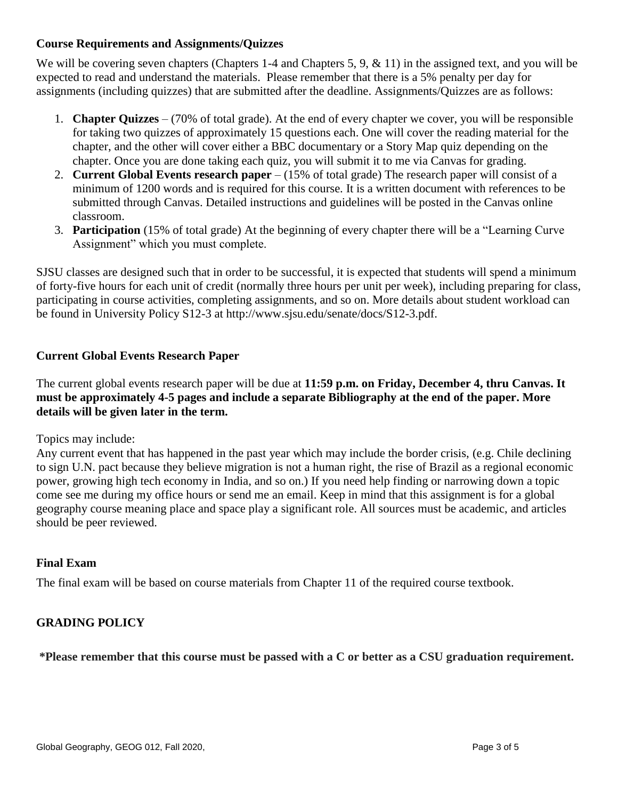## **Course Requirements and Assignments/Quizzes**

We will be covering seven chapters (Chapters 1-4 and Chapters 5, 9, & 11) in the assigned text, and you will be expected to read and understand the materials. Please remember that there is a 5% penalty per day for assignments (including quizzes) that are submitted after the deadline. Assignments/Quizzes are as follows:

- 1. **Chapter Quizzes** (70% of total grade). At the end of every chapter we cover, you will be responsible for taking two quizzes of approximately 15 questions each. One will cover the reading material for the chapter, and the other will cover either a BBC documentary or a Story Map quiz depending on the chapter. Once you are done taking each quiz, you will submit it to me via Canvas for grading.
- 2. **Current Global Events research paper** (15% of total grade) The research paper will consist of a minimum of 1200 words and is required for this course. It is a written document with references to be submitted through Canvas. Detailed instructions and guidelines will be posted in the Canvas online classroom.
- 3. **Participation** (15% of total grade) At the beginning of every chapter there will be a "Learning Curve Assignment" which you must complete.

SJSU classes are designed such that in order to be successful, it is expected that students will spend a minimum of forty-five hours for each unit of credit (normally three hours per unit per week), including preparing for class, participating in course activities, completing assignments, and so on. More details about student workload can be found in University Policy S12-3 at http://www.sjsu.edu/senate/docs/S12-3.pdf.

## **Current Global Events Research Paper**

The current global events research paper will be due at **11:59 p.m. on Friday, December 4, thru Canvas. It must be approximately 4-5 pages and include a separate Bibliography at the end of the paper. More details will be given later in the term.**

Topics may include:

Any current event that has happened in the past year which may include the border crisis, (e.g. Chile declining to sign U.N. pact because they believe migration is not a human right, the rise of Brazil as a regional economic power, growing high tech economy in India, and so on.) If you need help finding or narrowing down a topic come see me during my office hours or send me an email. Keep in mind that this assignment is for a global geography course meaning place and space play a significant role. All sources must be academic, and articles should be peer reviewed.

# **Final Exam**

The final exam will be based on course materials from Chapter 11 of the required course textbook.

# **GRADING POLICY**

**\*Please remember that this course must be passed with a C or better as a CSU graduation requirement.**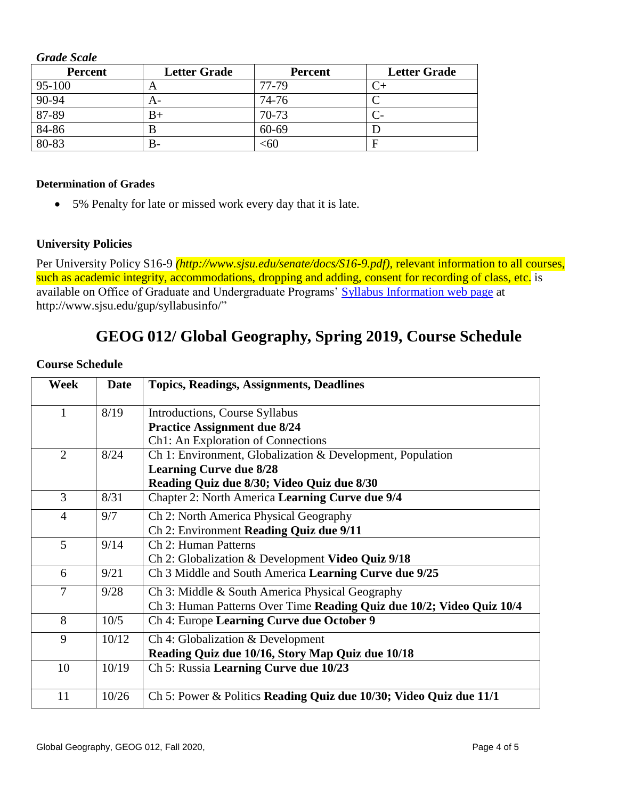*Grade Scale*

| <b>Percent</b> | <b>Letter Grade</b> | <b>Percent</b> | <b>Letter Grade</b> |
|----------------|---------------------|----------------|---------------------|
| 95-100         | A                   | 77-79          |                     |
| $90 - 94$      | A-                  | 74-76          |                     |
| 87-89          | B+                  | 70-73          |                     |
| $84 - 86$      |                     | 60-69          |                     |
| $80 - 83$      | В-                  | :60            | F                   |

#### **Determination of Grades**

5% Penalty for late or missed work every day that it is late.

#### **University Policies**

Per University Policy S16-9 *(http://www.sjsu.edu/senate/docs/S16-9.pdf)*, relevant information to all courses, such as academic integrity, accommodations, dropping and adding, consent for recording of class, etc. is available on Office of Graduate and Undergraduate Programs' [Syllabus Information](http://www.sjsu.edu/gup/syllabusinfo/) web page at http://www.sjsu.edu/gup/syllabusinfo/"

# **GEOG 012/ Global Geography, Spring 2019, Course Schedule**

#### **Course Schedule**

| <b>Week</b>    | <b>Date</b> | <b>Topics, Readings, Assignments, Deadlines</b>                       |
|----------------|-------------|-----------------------------------------------------------------------|
| 1              | 8/19        | Introductions, Course Syllabus                                        |
|                |             | <b>Practice Assignment due 8/24</b>                                   |
|                |             | Ch1: An Exploration of Connections                                    |
| 2              | 8/24        | Ch 1: Environment, Globalization & Development, Population            |
|                |             | <b>Learning Curve due 8/28</b>                                        |
|                |             | Reading Quiz due 8/30; Video Quiz due 8/30                            |
| 3              | 8/31        | Chapter 2: North America Learning Curve due 9/4                       |
| $\overline{4}$ | 9/7         | Ch 2: North America Physical Geography                                |
|                |             | Ch 2: Environment Reading Quiz due 9/11                               |
| 5              | 9/14        | Ch 2: Human Patterns                                                  |
|                |             | Ch 2: Globalization & Development Video Quiz 9/18                     |
| 6              | 9/21        | Ch 3 Middle and South America Learning Curve due 9/25                 |
| 7              | 9/28        | Ch 3: Middle & South America Physical Geography                       |
|                |             | Ch 3: Human Patterns Over Time Reading Quiz due 10/2; Video Quiz 10/4 |
| 8              | 10/5        | Ch 4: Europe Learning Curve due October 9                             |
| 9              | 10/12       | Ch 4: Globalization & Development                                     |
|                |             | Reading Quiz due 10/16, Story Map Quiz due 10/18                      |
| 10             | 10/19       | Ch 5: Russia Learning Curve due 10/23                                 |
|                |             |                                                                       |
| 11             | 10/26       | Ch 5: Power & Politics Reading Quiz due 10/30; Video Quiz due 11/1    |